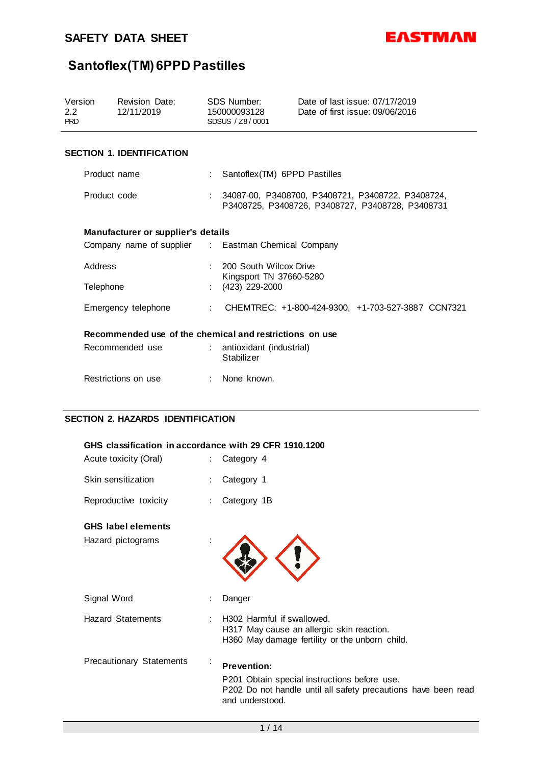

| Version<br>2.2<br><b>PRD</b>                            |                                  | Revision Date:<br>12/11/2019                        |  | SDS Number:<br>150000093128<br>SDSUS / Z8/0001 | Date of last issue: 07/17/2019<br>Date of first issue: 09/06/2016                                     |
|---------------------------------------------------------|----------------------------------|-----------------------------------------------------|--|------------------------------------------------|-------------------------------------------------------------------------------------------------------|
|                                                         | <b>SECTION 1. IDENTIFICATION</b> |                                                     |  |                                                |                                                                                                       |
|                                                         | Product name                     |                                                     |  | Santoflex(TM) 6PPD Pastilles                   |                                                                                                       |
|                                                         | Product code                     |                                                     |  |                                                | 34087-00, P3408700, P3408721, P3408722, P3408724,<br>P3408725, P3408726, P3408727, P3408728, P3408731 |
|                                                         |                                  | Manufacturer or supplier's details                  |  |                                                |                                                                                                       |
|                                                         |                                  | Company name of supplier : Eastman Chemical Company |  |                                                |                                                                                                       |
|                                                         | Address                          |                                                     |  | 200 South Wilcox Drive                         |                                                                                                       |
|                                                         | Telephone                        |                                                     |  | Kingsport TN 37660-5280<br>(423) 229-2000      |                                                                                                       |
|                                                         |                                  | Emergency telephone                                 |  |                                                | : CHEMTREC: +1-800-424-9300, +1-703-527-3887 CCN7321                                                  |
| Recommended use of the chemical and restrictions on use |                                  |                                                     |  |                                                |                                                                                                       |
|                                                         |                                  | Recommended use                                     |  | : antioxidant (industrial)<br>Stabilizer       |                                                                                                       |
|                                                         |                                  | Restrictions on use                                 |  | None known.                                    |                                                                                                       |

### **SECTION 2. HAZARDS IDENTIFICATION**

| GHS classification in accordance with 29 CFR 1910.1200 |                |                                                                                                                                                         |  |  |
|--------------------------------------------------------|----------------|---------------------------------------------------------------------------------------------------------------------------------------------------------|--|--|
| Acute toxicity (Oral)                                  |                | Category 4                                                                                                                                              |  |  |
| Skin sensitization                                     |                | Category 1                                                                                                                                              |  |  |
| Reproductive toxicity                                  |                | Category 1B                                                                                                                                             |  |  |
| <b>GHS</b> label elements                              |                |                                                                                                                                                         |  |  |
| Hazard pictograms                                      |                |                                                                                                                                                         |  |  |
| Signal Word                                            |                | Danger                                                                                                                                                  |  |  |
| <b>Hazard Statements</b>                               |                | H <sub>302</sub> Harmful if swallowed.<br>H317 May cause an allergic skin reaction.<br>H360 May damage fertility or the unborn child.                   |  |  |
| <b>Precautionary Statements</b>                        | $\blacksquare$ | <b>Prevention:</b><br>P201 Obtain special instructions before use.<br>P202 Do not handle until all safety precautions have been read<br>and understood. |  |  |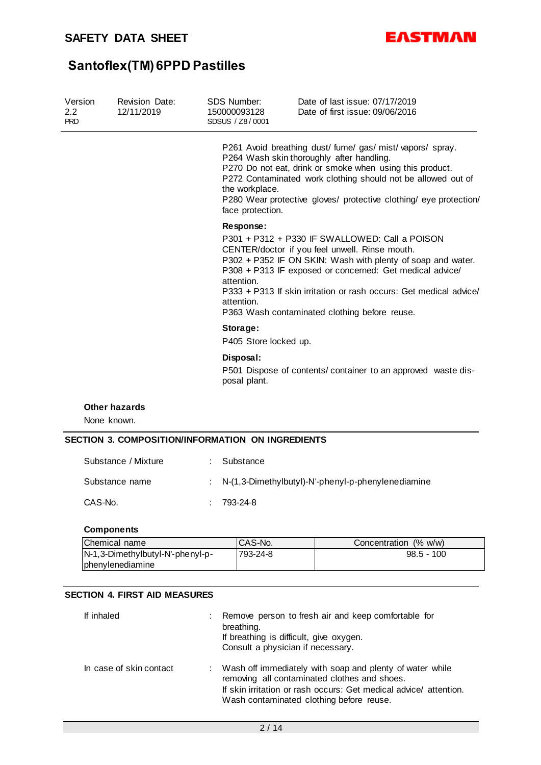

| Version<br>$2.2^{\circ}$<br><b>PRD</b> | <b>Revision Date:</b><br>12/11/2019 | SDS Number:<br>150000093128<br>SDSUS / Z8/0001 | Date of last issue: 07/17/2019<br>Date of first issue: 09/06/2016                                                                                                                                                                                                                                                                                  |
|----------------------------------------|-------------------------------------|------------------------------------------------|----------------------------------------------------------------------------------------------------------------------------------------------------------------------------------------------------------------------------------------------------------------------------------------------------------------------------------------------------|
|                                        |                                     | the workplace.<br>face protection.             | P261 Avoid breathing dust/fume/gas/mist/vapors/spray.<br>P264 Wash skin thoroughly after handling.<br>P270 Do not eat, drink or smoke when using this product.<br>P272 Contaminated work clothing should not be allowed out of<br>P280 Wear protective gloves/ protective clothing/ eye protection/                                                |
|                                        |                                     | Response:<br>attention.<br>attention.          | P301 + P312 + P330 IF SWALLOWED: Call a POISON<br>CENTER/doctor if you feel unwell. Rinse mouth.<br>P302 + P352 IF ON SKIN: Wash with plenty of soap and water.<br>P308 + P313 IF exposed or concerned: Get medical advice/<br>P333 + P313 If skin irritation or rash occurs: Get medical advice/<br>P363 Wash contaminated clothing before reuse. |
|                                        |                                     | Storage:<br>P405 Store locked up.              |                                                                                                                                                                                                                                                                                                                                                    |
|                                        |                                     | Disposal:<br>posal plant.                      | P501 Dispose of contents/ container to an approved waste dis-                                                                                                                                                                                                                                                                                      |
| Nono known                             | <b>Other hazards</b>                |                                                |                                                                                                                                                                                                                                                                                                                                                    |

None known.

### **SECTION 3. COMPOSITION/INFORMATION ON INGREDIENTS**

| Substance / Mixture | Substance                                            |
|---------------------|------------------------------------------------------|
| Substance name      | : N-(1,3-Dimethylbutyl)-N'-phenyl-p-phenylenediamine |
| CAS-No.             | $.793-24-8$                                          |

### **Components**

| Chemical name                    | CAS-No.  | Concentration (% w/w) |
|----------------------------------|----------|-----------------------|
| N-1,3-Dimethylbutyl-N'-phenyl-p- | 793-24-8 | $98.5 - 100$          |
| <b>Iphenylenediamine</b>         |          |                       |

### **SECTION 4. FIRST AID MEASURES**

| If inhaled              | Remove person to fresh air and keep comfortable for<br>breathing.<br>If breathing is difficult, give oxygen.<br>Consult a physician if necessary.                                                                          |
|-------------------------|----------------------------------------------------------------------------------------------------------------------------------------------------------------------------------------------------------------------------|
| In case of skin contact | : Wash off immediately with soap and plenty of water while<br>removing all contaminated clothes and shoes.<br>If skin irritation or rash occurs: Get medical advice/attention.<br>Wash contaminated clothing before reuse. |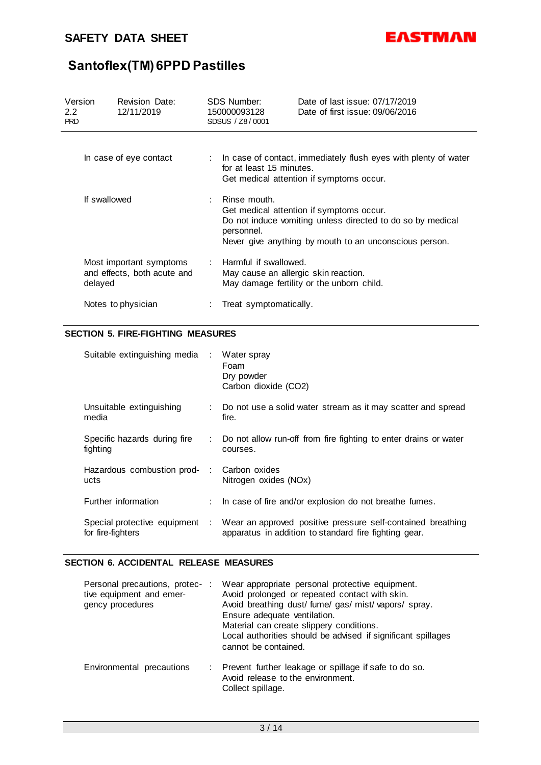

| Version<br>2.2<br><b>PRD</b> |              | Revision Date:<br>12/11/2019                           | SDS Number:<br>150000093128<br>SDSUS / Z8/0001                  | Date of last issue: 07/17/2019<br>Date of first issue: 09/06/2016                                                                                                |
|------------------------------|--------------|--------------------------------------------------------|-----------------------------------------------------------------|------------------------------------------------------------------------------------------------------------------------------------------------------------------|
|                              |              | In case of eye contact                                 | for at least 15 minutes.                                        | : In case of contact, immediately flush eyes with plenty of water<br>Get medical attention if symptoms occur.                                                    |
|                              | If swallowed |                                                        | $\therefore$ Rinse mouth.<br>personnel.                         | Get medical attention if symptoms occur.<br>Do not induce vomiting unless directed to do so by medical<br>Never give anything by mouth to an unconscious person. |
|                              | delayed      | Most important symptoms<br>and effects, both acute and | : Harmful if swallowed.<br>May cause an allergic skin reaction. | May damage fertility or the unborn child.                                                                                                                        |
|                              |              | Notes to physician                                     | Treat symptomatically.                                          |                                                                                                                                                                  |

### **SECTION 5. FIRE-FIGHTING MEASURES**

| Suitable extinguishing media : Water spray          | Foam<br>Dry powder<br>Carbon dioxide (CO2)                                                                           |
|-----------------------------------------------------|----------------------------------------------------------------------------------------------------------------------|
| Unsuitable extinguishing<br>media                   | Do not use a solid water stream as it may scatter and spread<br>fire.                                                |
| Specific hazards during fire<br>fighting            | : Do not allow run-off from fire fighting to enter drains or water<br>courses.                                       |
| Hazardous combustion prod- : Carbon oxides<br>ucts  | Nitrogen oxides (NOx)                                                                                                |
| Further information                                 | : In case of fire and/or explosion do not breathe fumes.                                                             |
| Special protective equipment :<br>for fire-fighters | Wear an approved positive pressure self-contained breathing<br>apparatus in addition to standard fire fighting gear. |

### **SECTION 6. ACCIDENTAL RELEASE MEASURES**

| Personal precautions, protec-:<br>tive equipment and emer-<br>gency procedures | Wear appropriate personal protective equipment.<br>Avoid prolonged or repeated contact with skin.<br>Avoid breathing dust/ fume/ gas/ mist/ vapors/ spray.<br>Ensure adequate ventilation.<br>Material can create slippery conditions.<br>Local authorities should be advised if significant spillages<br>cannot be contained. |
|--------------------------------------------------------------------------------|--------------------------------------------------------------------------------------------------------------------------------------------------------------------------------------------------------------------------------------------------------------------------------------------------------------------------------|
| Environmental precautions                                                      | : Prevent further leakage or spillage if safe to do so.<br>Avoid release to the environment.<br>Collect spillage.                                                                                                                                                                                                              |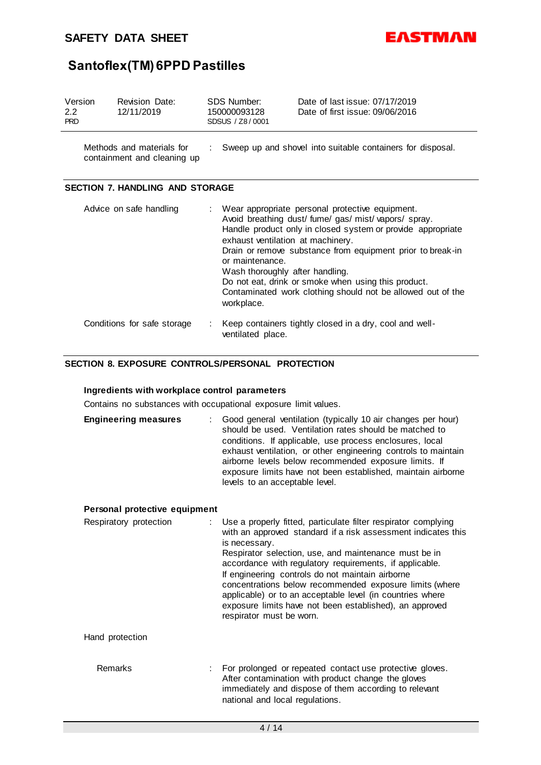### **SAFETY DATA SHEET**



# **Santoflex(TM) 6PPD Pastilles**

| Version<br>$2.2^{\circ}$<br><b>PRD</b> |                         | Revision Date:<br>12/11/2019                             | SDS Number:<br>150000093128<br>SDSUS / Z8/0001                                                        | Date of last issue: 07/17/2019<br>Date of first issue: 09/06/2016                                                                                                                                                                                                                                                                                      |
|----------------------------------------|-------------------------|----------------------------------------------------------|-------------------------------------------------------------------------------------------------------|--------------------------------------------------------------------------------------------------------------------------------------------------------------------------------------------------------------------------------------------------------------------------------------------------------------------------------------------------------|
|                                        |                         | Methods and materials for<br>containment and cleaning up |                                                                                                       | Sweep up and shovel into suitable containers for disposal.                                                                                                                                                                                                                                                                                             |
|                                        |                         | <b>SECTION 7. HANDLING AND STORAGE</b>                   |                                                                                                       |                                                                                                                                                                                                                                                                                                                                                        |
|                                        | Advice on safe handling |                                                          | exhaust ventilation at machinery.<br>or maintenance.<br>Wash thoroughly after handling.<br>workplace. | Wear appropriate personal protective equipment.<br>Avoid breathing dust/fume/gas/mist/vapors/spray.<br>Handle product only in closed system or provide appropriate<br>Drain or remove substance from equipment prior to break-in<br>Do not eat, drink or smoke when using this product.<br>Contaminated work clothing should not be allowed out of the |
|                                        |                         | Conditions for safe storage                              | ventilated place.                                                                                     | Keep containers tightly closed in a dry, cool and well-                                                                                                                                                                                                                                                                                                |

### **SECTION 8. EXPOSURE CONTROLS/PERSONAL PROTECTION**

### **Ingredients with workplace control parameters**

Contains no substances with occupational exposure limit values.

| <b>Engineering measures</b> | : Good general ventilation (typically 10 air changes per hour)<br>should be used. Ventilation rates should be matched to<br>conditions. If applicable, use process enclosures, local<br>exhaust ventilation, or other engineering controls to maintain<br>airborne levels below recommended exposure limits. If<br>exposure limits have not been established, maintain airborne<br>levels to an acceptable level. |
|-----------------------------|-------------------------------------------------------------------------------------------------------------------------------------------------------------------------------------------------------------------------------------------------------------------------------------------------------------------------------------------------------------------------------------------------------------------|
|-----------------------------|-------------------------------------------------------------------------------------------------------------------------------------------------------------------------------------------------------------------------------------------------------------------------------------------------------------------------------------------------------------------------------------------------------------------|

### **Personal protective equipment**

| Respiratory protection | : Use a properly fitted, particulate filter respirator complying<br>with an approved standard if a risk assessment indicates this<br>is necessary.<br>Respirator selection, use, and maintenance must be in<br>accordance with regulatory requirements, if applicable.<br>If engineering controls do not maintain airborne<br>concentrations below recommended exposure limits (where<br>applicable) or to an acceptable level (in countries where<br>exposure limits have not been established), an approved<br>respirator must be worn. |
|------------------------|-------------------------------------------------------------------------------------------------------------------------------------------------------------------------------------------------------------------------------------------------------------------------------------------------------------------------------------------------------------------------------------------------------------------------------------------------------------------------------------------------------------------------------------------|
| Hand protection        |                                                                                                                                                                                                                                                                                                                                                                                                                                                                                                                                           |
| <b>Remarks</b>         | For prolonged or repeated contact use protective gloves.<br>After contamination with product change the gloves<br>immediately and dispose of them according to relevant<br>national and local regulations.                                                                                                                                                                                                                                                                                                                                |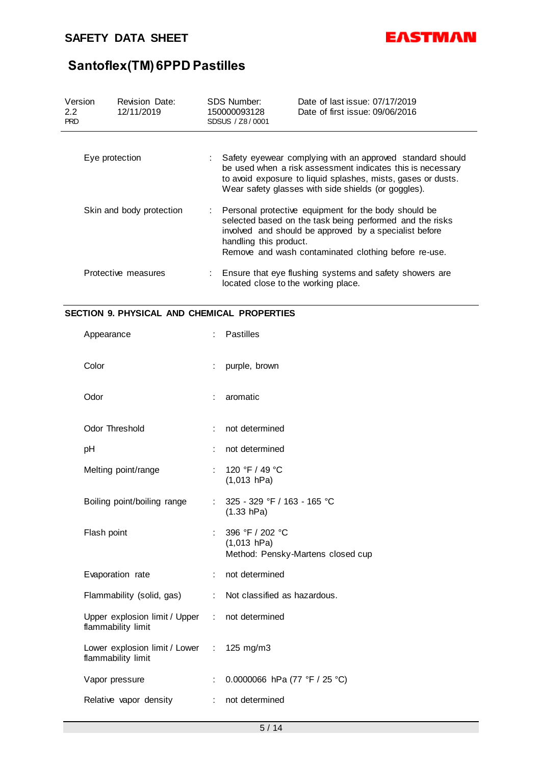

| Version<br>2.2<br><b>PRD</b> | <b>Revision Date:</b><br>12/11/2019 |    | SDS Number:<br>150000093128<br>SDSUS / Z8/0001                                                                                                                                                                                                               | Date of last issue: 07/17/2019<br>Date of first issue: 09/06/2016                                                                                                                                                                              |  |
|------------------------------|-------------------------------------|----|--------------------------------------------------------------------------------------------------------------------------------------------------------------------------------------------------------------------------------------------------------------|------------------------------------------------------------------------------------------------------------------------------------------------------------------------------------------------------------------------------------------------|--|
|                              | Eye protection                      |    |                                                                                                                                                                                                                                                              | Safety eyewear complying with an approved standard should<br>be used when a risk assessment indicates this is necessary<br>to avoid exposure to liquid splashes, mists, gases or dusts.<br>Wear safety glasses with side shields (or goggles). |  |
| Skin and body protection     |                                     | ÷. | Personal protective equipment for the body should be<br>selected based on the task being performed and the risks<br>involved and should be approved by a specialist before<br>handling this product.<br>Remove and wash contaminated clothing before re-use. |                                                                                                                                                                                                                                                |  |
|                              | Protective measures                 |    | located close to the working place.                                                                                                                                                                                                                          | : Ensure that eye flushing systems and safety showers are                                                                                                                                                                                      |  |

### **SECTION 9. PHYSICAL AND CHEMICAL PROPERTIES**

| Appearance                                                           |    | <b>Pastilles</b>                                                      |
|----------------------------------------------------------------------|----|-----------------------------------------------------------------------|
| Color                                                                | ÷. | purple, brown                                                         |
| Odor                                                                 | ÷. | aromatic                                                              |
| <b>Odor Threshold</b>                                                |    | not determined                                                        |
| pH                                                                   |    | not determined                                                        |
| Melting point/range                                                  | t. | 120 °F / 49 °C<br>$(1,013$ hPa)                                       |
| Boiling point/boiling range                                          | t. | 325 - 329 °F / 163 - 165 °C<br>(1.33 hPa)                             |
| Flash point                                                          |    | 396 °F / 202 °C<br>$(1,013$ hPa)<br>Method: Pensky-Martens closed cup |
| Evaporation rate                                                     |    | not determined                                                        |
| Flammability (solid, gas)                                            |    | : Not classified as hazardous.                                        |
| Upper explosion limit / Upper : not determined<br>flammability limit |    |                                                                       |
| Lower explosion limit / Lower : 125 mg/m3<br>flammability limit      |    |                                                                       |
| Vapor pressure                                                       | ÷  | 0.0000066 hPa (77 °F / 25 °C)                                         |
| Relative vapor density                                               |    | not determined                                                        |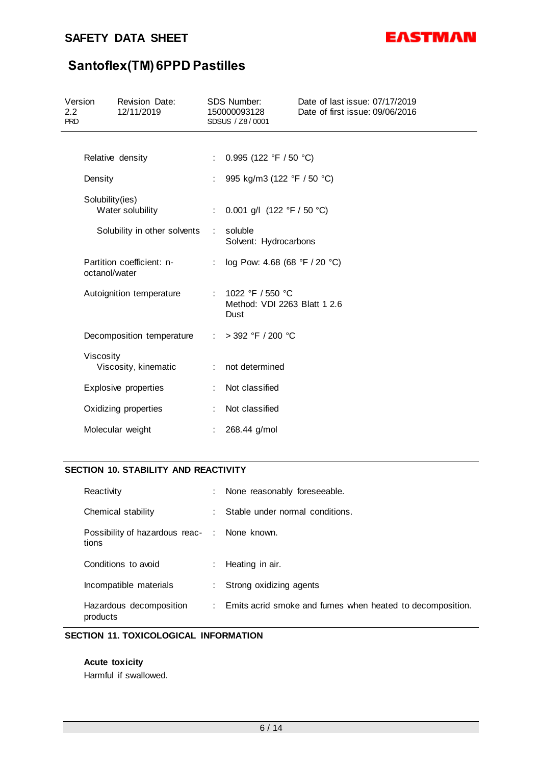### **SAFETY DATA SHEET**



# **Santoflex(TM) 6PPD Pastilles**

| Version<br>2.2<br><b>PRD</b> |                 | <b>Revision Date:</b><br>12/11/2019 |                               | <b>SDS Number:</b><br>150000093128<br>SDSUS / Z8/0001        | Date of last issue: 07/17/2019<br>Date of first issue: 09/06/2016 |
|------------------------------|-----------------|-------------------------------------|-------------------------------|--------------------------------------------------------------|-------------------------------------------------------------------|
|                              |                 |                                     |                               |                                                              |                                                                   |
|                              |                 | Relative density                    | ÷                             | 0.995 (122 °F / 50 °C)                                       |                                                                   |
|                              | Density         |                                     |                               | 995 kg/m3 (122 °F / 50 °C)                                   |                                                                   |
|                              | Solubility(ies) | Water solubility                    | ÷.                            | 0.001 g/l $(122 °F / 50 °C)$                                 |                                                                   |
|                              |                 | Solubility in other solvents        | ÷                             | soluble<br>Solvent: Hydrocarbons                             |                                                                   |
|                              | octanol/water   | Partition coefficient: n-           |                               | log Pow: 4.68 (68 °F / 20 °C)                                |                                                                   |
|                              |                 | Autoignition temperature            |                               | : $1022 °F / 550 °C$<br>Method: VDI 2263 Blatt 1 2.6<br>Dust |                                                                   |
|                              |                 | Decomposition temperature           | $\mathcal{I}^{\mathcal{I}}$ . | $>$ 392 °F / 200 °C                                          |                                                                   |
|                              | Viscosity       | Viscosity, kinematic                | ÷                             | not determined                                               |                                                                   |
|                              |                 | Explosive properties                |                               | Not classified                                               |                                                                   |
|                              |                 | Oxidizing properties                |                               | Not classified                                               |                                                                   |
|                              |                 | Molecular weight                    |                               | 268.44 g/mol                                                 |                                                                   |

### **SECTION 10. STABILITY AND REACTIVITY**

| Reactivity                                            | : None reasonably foreseeable.                              |
|-------------------------------------------------------|-------------------------------------------------------------|
| Chemical stability                                    | Stable under normal conditions.                             |
| Possibility of hazardous reac- : None known.<br>tions |                                                             |
| Conditions to avoid                                   | $:$ Heating in air.                                         |
| Incompatible materials                                | : Strong oxidizing agents                                   |
| Hazardous decomposition<br>products                   | : Emits acrid smoke and fumes when heated to decomposition. |

### **SECTION 11. TOXICOLOGICAL INFORMATION**

### **Acute toxicity**

Harmful if swallowed.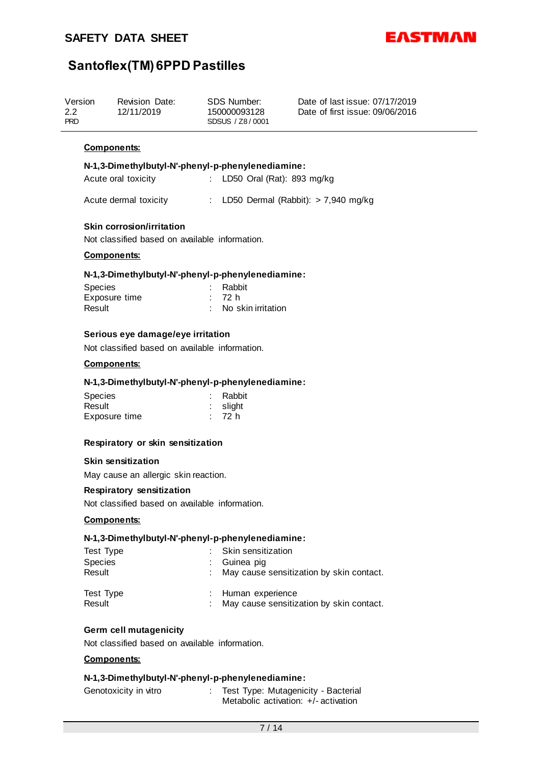

| Version<br>2.2<br><b>PRD</b> | Revision Date:<br>12/11/2019 | SDS Number:<br>150000093128<br>SDSUS / Z8/0001 | Date of last issue: 07/17/2019<br>Date of first issue: 09/06/2016 |  |
|------------------------------|------------------------------|------------------------------------------------|-------------------------------------------------------------------|--|
|------------------------------|------------------------------|------------------------------------------------|-------------------------------------------------------------------|--|

### **Components:**

### **N-1,3-Dimethylbutyl-N'-phenyl-p-phenylenediamine:**

| Acute oral toxicity | LD50 Oral (Rat): 893 mg/kg |
|---------------------|----------------------------|
|---------------------|----------------------------|

Acute dermal toxicity : LD50 Dermal (Rabbit): > 7,940 mg/kg

### **Skin corrosion/irritation**

Not classified based on available information.

### **Components:**

### **N-1,3-Dimethylbutyl-N'-phenyl-p-phenylenediamine:**

| <b>Species</b> | : Rabbit             |
|----------------|----------------------|
| Exposure time  | : 72 h               |
| Result         | : No skin irritation |

### **Serious eye damage/eye irritation**

Not classified based on available information.

### **Components:**

### **N-1,3-Dimethylbutyl-N'-phenyl-p-phenylenediamine:**

| <b>Species</b> | : Rabbit |
|----------------|----------|
| Result         | : slight |
| Exposure time  | : 72 h   |

### **Respiratory or skin sensitization**

### **Skin sensitization**

May cause an allergic skin reaction.

### **Respiratory sensitization**

Not classified based on available information.

### **Components:**

### **N-1,3-Dimethylbutyl-N'-phenyl-p-phenylenediamine:**

| Test Type<br><b>Species</b><br>Result | : Skin sensitization<br>: Guinea pig<br>May cause sensitization by skin contact. |  |
|---------------------------------------|----------------------------------------------------------------------------------|--|
| Test Type<br>Result                   | : Human experience<br>May cause sensitization by skin contact.                   |  |

### **Germ cell mutagenicity**

Not classified based on available information.

### **Components:**

### **N-1,3-Dimethylbutyl-N'-phenyl-p-phenylenediamine:**

| Genotoxicity in vitro | Test Type: Mutagenicity - Bacterial    |
|-----------------------|----------------------------------------|
|                       | Metabolic activation: $+/-$ activation |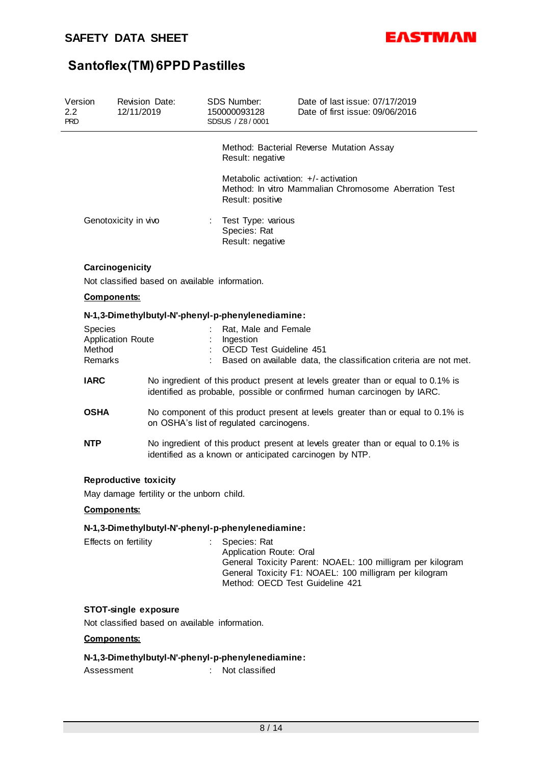

| Version<br>2.2<br><b>PRD</b> | <b>Revision Date:</b><br>12/11/2019                               |   | <b>SDS Number:</b><br>150000093128<br>SDSUS / Z8/0001               | Date of last issue: 07/17/2019<br>Date of first issue: 09/06/2016                                                                                           |
|------------------------------|-------------------------------------------------------------------|---|---------------------------------------------------------------------|-------------------------------------------------------------------------------------------------------------------------------------------------------------|
|                              |                                                                   |   | Result: negative                                                    | Method: Bacterial Reverse Mutation Assay                                                                                                                    |
|                              |                                                                   |   | Metabolic activation: +/- activation<br>Result: positive            | Method: In vitro Mammalian Chromosome Aberration Test                                                                                                       |
|                              | Genotoxicity in vivo                                              | ÷ | Test Type: various<br>Species: Rat<br>Result: negative              |                                                                                                                                                             |
|                              | Carcinogenicity<br>Not classified based on available information. |   |                                                                     |                                                                                                                                                             |
|                              | Components:                                                       |   |                                                                     |                                                                                                                                                             |
|                              | N-1,3-Dimethylbutyl-N'-phenyl-p-phenylenediamine:                 |   |                                                                     |                                                                                                                                                             |
| Species<br>Method<br>Remarks | <b>Application Route</b>                                          |   | Rat, Male and Female<br>Ingestion<br><b>OECD Test Guideline 451</b> | Based on available data, the classification criteria are not met.                                                                                           |
| <b>IARC</b>                  |                                                                   |   |                                                                     | No ingredient of this product present at levels greater than or equal to 0.1% is<br>identified as probable, possible or confirmed human carcinogen by IARC. |
| <b>OSHA</b>                  |                                                                   |   | on OSHA's list of regulated carcinogens.                            | No component of this product present at levels greater than or equal to 0.1% is                                                                             |
| <b>NTP</b>                   |                                                                   |   |                                                                     | No ingredient of this product present at levels greater than or equal to 0.1% is<br>identified as a known or anticipated carcinogen by NTP.                 |
|                              | <b>Reproductive toxicity</b>                                      |   |                                                                     |                                                                                                                                                             |
|                              | May damage fertility or the unborn child.                         |   |                                                                     |                                                                                                                                                             |
|                              | <b>Components:</b>                                                |   |                                                                     |                                                                                                                                                             |
|                              | N-1,3-Dimethylbutyl-N'-phenyl-p-phenylenediamine:                 |   |                                                                     |                                                                                                                                                             |
|                              | Effects on fertility                                              |   | Species: Rat<br>Application Route: Oral                             | General Toxicity Parent: NOAEL: 100 milligram per kilogram                                                                                                  |

General Toxicity Parent: NOAEL: 100 milligram per kilogram General Toxicity F1: NOAEL: 100 milligram per kilogram Method: OECD Test Guideline 421

### **STOT-single exposure**

Not classified based on available information.

### **Components:**

### **N-1,3-Dimethylbutyl-N'-phenyl-p-phenylenediamine:**

Assessment : Not classified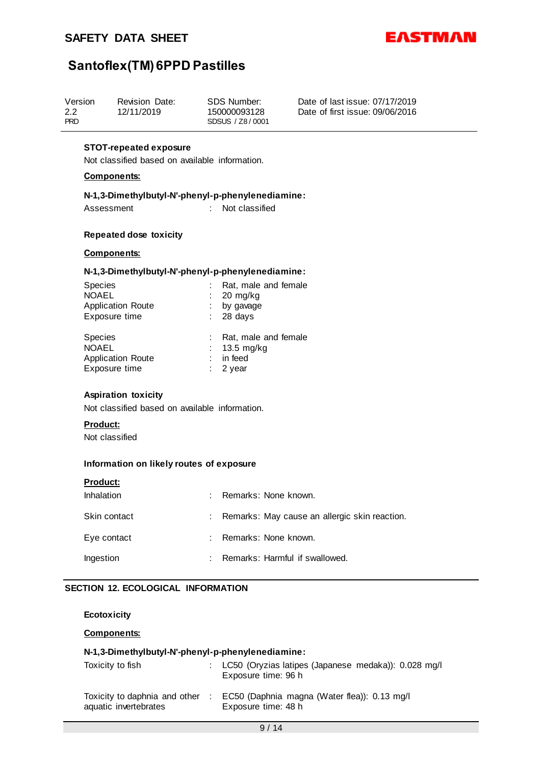

| Version<br>2.2<br><b>PRD</b> | Revision Date:<br>12/11/2019 | SDS Number:<br>150000093128<br>SDSUS / Z8/0001 | Date of last issue: 07/17/2019<br>Date of first issue: 09/06/2016 |
|------------------------------|------------------------------|------------------------------------------------|-------------------------------------------------------------------|
|                              |                              |                                                |                                                                   |

### **STOT-repeated exposure**

Not classified based on available information.

### **Components:**

### **N-1,3-Dimethylbutyl-N'-phenyl-p-phenylenediamine:** Assessment : Not classified

### **Repeated dose toxicity**

### **Components:**

### **N-1,3-Dimethylbutyl-N'-phenyl-p-phenylenediamine:**

| <b>Species</b><br><b>NOAEL</b><br><b>Application Route</b><br>Exposure time | ÷. | Rat, male and female<br>20 mg/kg<br>by gavage<br>$: 28 \text{ days}$  |
|-----------------------------------------------------------------------------|----|-----------------------------------------------------------------------|
| <b>Species</b><br><b>NOAEL</b><br><b>Application Route</b><br>Exposure time |    | Rat, male and female<br>$13.5 \text{ mg/kg}$<br>in feed<br>$: 2$ vear |

### **Aspiration toxicity**

Not classified based on available information.

### **Product:**

Not classified

### **Information on likely routes of exposure**

| <b>Product:</b> |   |                                               |
|-----------------|---|-----------------------------------------------|
| Inhalation      | ÷ | Remarks: None known.                          |
| Skin contact    | ÷ | Remarks: May cause an allergic skin reaction. |
| Eye contact     | ÷ | Remarks: None known.                          |
| Ingestion       | ÷ | Remarks: Harmful if swallowed.                |

### **SECTION 12. ECOLOGICAL INFORMATION**

**Ecotoxicity**

**Components:**

### **N-1,3-Dimethylbutyl-N'-phenyl-p-phenylenediamine:**

| Toxicity to fish                                       | : LC50 (Oryzias latipes (Japanese medaka)): 0.028 mg/l<br>Exposure time: 96 h |
|--------------------------------------------------------|-------------------------------------------------------------------------------|
| Toxicity to daphnia and other<br>aquatic invertebrates | EC50 (Daphnia magna (Water flea)): 0.13 mg/l<br>Exposure time: 48 h           |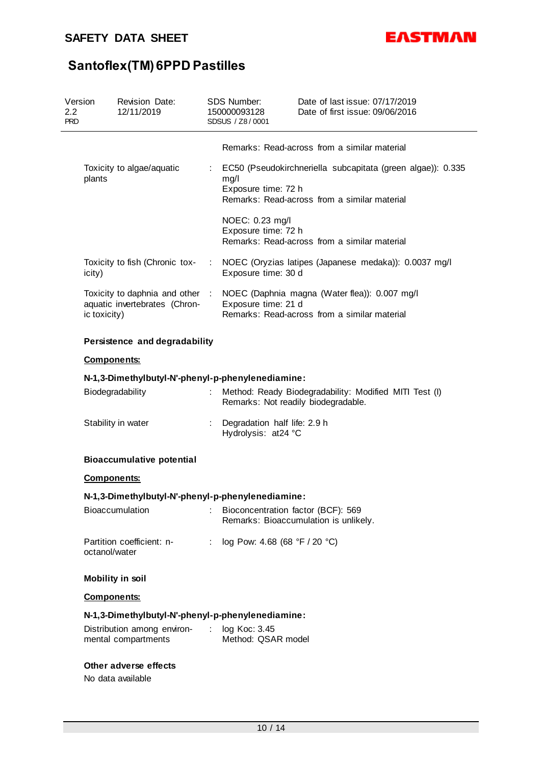

| Version<br>$2.2\,$<br><b>PRD</b> |                    | Revision Date:<br>12/11/2019                       |                             | SDS Number:<br>150000093128<br>SDSUS / Z8/0001      | Date of last issue: 07/17/2019<br>Date of first issue: 09/06/2016                                                             |
|----------------------------------|--------------------|----------------------------------------------------|-----------------------------|-----------------------------------------------------|-------------------------------------------------------------------------------------------------------------------------------|
|                                  |                    |                                                    |                             |                                                     | Remarks: Read-across from a similar material                                                                                  |
|                                  | plants             | Toxicity to algae/aquatic                          | $\mathcal{L}_{\mathcal{A}}$ | mg/l<br>Exposure time: 72 h                         | EC50 (Pseudokirchneriella subcapitata (green algae)): 0.335<br>Remarks: Read-across from a similar material                   |
|                                  |                    |                                                    |                             | NOEC: 0.23 mg/l<br>Exposure time: 72 h              | Remarks: Read-across from a similar material                                                                                  |
|                                  | icity)             | Toxicity to fish (Chronic tox-                     | A.                          | Exposure time: 30 d                                 | NOEC (Oryzias latipes (Japanese medaka)): 0.0037 mg/l                                                                         |
|                                  | ic toxicity)       | aquatic invertebrates (Chron-                      |                             | Exposure time: 21 d                                 | Toxicity to daphnia and other : NOEC (Daphnia magna (Water flea)): 0.007 mg/l<br>Remarks: Read-across from a similar material |
|                                  |                    | Persistence and degradability                      |                             |                                                     |                                                                                                                               |
|                                  | <b>Components:</b> |                                                    |                             |                                                     |                                                                                                                               |
|                                  | Biodegradability   | N-1,3-Dimethylbutyl-N'-phenyl-p-phenylenediamine:  |                             |                                                     | Method: Ready Biodegradability: Modified MITI Test (I)<br>Remarks: Not readily biodegradable.                                 |
|                                  |                    | Stability in water                                 |                             | Degradation half life: 2.9 h<br>Hydrolysis: at24 °C |                                                                                                                               |
|                                  |                    | <b>Bioaccumulative potential</b>                   |                             |                                                     |                                                                                                                               |
|                                  | <b>Components:</b> |                                                    |                             |                                                     |                                                                                                                               |
|                                  |                    | N-1,3-Dimethylbutyl-N'-phenyl-p-phenylenediamine:  |                             |                                                     |                                                                                                                               |
|                                  |                    | Bioaccumulation                                    |                             | Bioconcentration factor (BCF): 569                  | Remarks: Bioaccumulation is unlikely.                                                                                         |
|                                  | octanol/water      | Partition coefficient: n-                          | ÷.                          | log Pow: 4.68 (68 °F / 20 °C)                       |                                                                                                                               |
|                                  | Mobility in soil   |                                                    |                             |                                                     |                                                                                                                               |
|                                  | <b>Components:</b> |                                                    |                             |                                                     |                                                                                                                               |
|                                  |                    | N-1,3-Dimethylbutyl-N'-phenyl-p-phenylenediamine:  |                             |                                                     |                                                                                                                               |
|                                  |                    | Distribution among environ-<br>mental compartments |                             | $\log$ Koc: 3.45<br>Method: QSAR model              |                                                                                                                               |
|                                  |                    | Other adverse effects<br>No data available         |                             |                                                     |                                                                                                                               |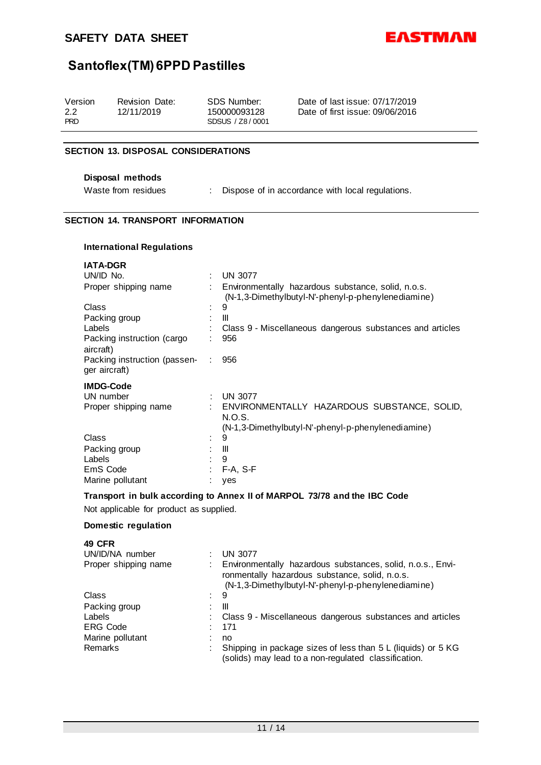

| Version<br>2.2<br><b>PRD</b> | Revision Date:<br>12/11/2019 | SDS Number:<br>150000093128<br>SDSUS / Z8/0001 | Date of last issue: 07/17/2019<br>Date of first issue: 09/06/2016 |
|------------------------------|------------------------------|------------------------------------------------|-------------------------------------------------------------------|
|                              |                              |                                                |                                                                   |

### **SECTION 13. DISPOSAL CONSIDERATIONS**

### **Disposal methods**

Waste from residues : Dispose of in accordance with local regulations.

### **SECTION 14. TRANSPORT INFORMATION**

### **International Regulations**

| <b>IATA-DGR</b>                                       |                |                                                                                                                        |
|-------------------------------------------------------|----------------|------------------------------------------------------------------------------------------------------------------------|
| UN/ID No.                                             |                | <b>UN 3077</b>                                                                                                         |
| Proper shipping name                                  |                | Environmentally hazardous substance, solid, n.o.s.<br>(N-1,3-Dimethylbutyl-N'-phenyl-p-phenylenediamine)               |
| Class                                                 | $\blacksquare$ | 9                                                                                                                      |
| Packing group                                         |                | Ш                                                                                                                      |
| Labels                                                |                | Class 9 - Miscellaneous dangerous substances and articles                                                              |
| Packing instruction (cargo<br>aircraft)               |                | 956                                                                                                                    |
| Packing instruction (passen-<br>ger aircraft)         |                | 956                                                                                                                    |
| <b>IMDG-Code</b><br>UN number<br>Proper shipping name | ÷              | UN 3077<br>ENVIRONMENTALLY HAZARDOUS SUBSTANCE, SOLID,<br>N.O.S.<br>(N-1,3-Dimethylbutyl-N'-phenyl-p-phenylenediamine) |
| Class                                                 | $\bullet$      | 9                                                                                                                      |
| Packing group                                         |                | Ш                                                                                                                      |
| Labels                                                |                | 9                                                                                                                      |
| EmS Code                                              |                | $F-A, S-F$                                                                                                             |
| Marine pollutant                                      |                | yes                                                                                                                    |

### **Transport in bulk according to Annex II of MARPOL 73/78 and the IBC Code**

Not applicable for product as supplied.

### **Domestic regulation**

| <b>49 CFR</b>        |                                                                                                                                                                    |
|----------------------|--------------------------------------------------------------------------------------------------------------------------------------------------------------------|
| UN/ID/NA number      | <b>UN 3077</b>                                                                                                                                                     |
| Proper shipping name | Environmentally hazardous substances, solid, n.o.s., Envi-<br>ronmentally hazardous substance, solid, n.o.s.<br>(N-1,3-Dimethylbutyl-N'-phenyl-p-phenylenediamine) |
| Class                | 9                                                                                                                                                                  |
| Packing group        | Ш                                                                                                                                                                  |
| Labels               | Class 9 - Miscellaneous dangerous substances and articles                                                                                                          |
| <b>ERG Code</b>      | 171                                                                                                                                                                |
| Marine pollutant     | no                                                                                                                                                                 |
| Remarks              | Shipping in package sizes of less than 5 L (liquids) or 5 KG<br>(solids) may lead to a non-regulated classification.                                               |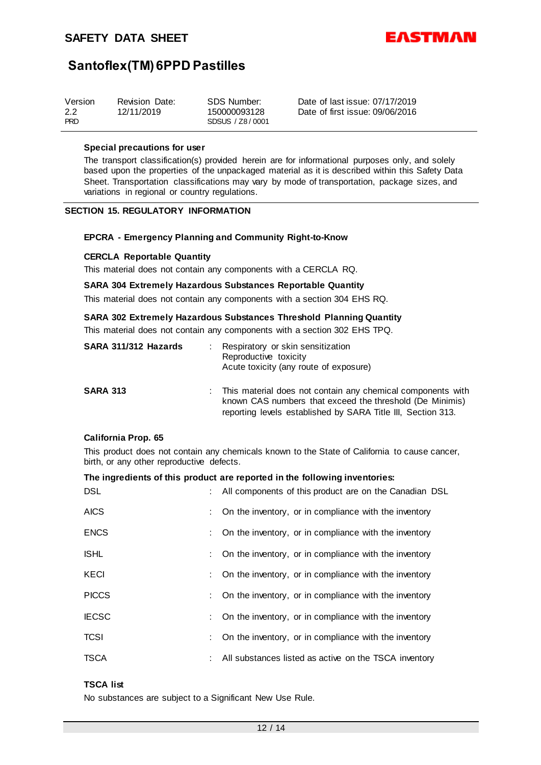

| Version    | Revision Date: | SDS Number:     | Date of last issue: 07/17/2019  |
|------------|----------------|-----------------|---------------------------------|
| 2.2        | 12/11/2019     | 150000093128    | Date of first issue: 09/06/2016 |
| <b>PRD</b> |                | SDSUS / Z8/0001 |                                 |

#### **Special precautions for user**

The transport classification(s) provided herein are for informational purposes only, and solely based upon the properties of the unpackaged material as it is described within this Safety Data Sheet. Transportation classifications may vary by mode of transportation, package sizes, and variations in regional or country regulations.

### **SECTION 15. REGULATORY INFORMATION**

### **EPCRA - Emergency Planning and Community Right-to-Know**

### **CERCLA Reportable Quantity**

This material does not contain any components with a CERCLA RQ.

#### **SARA 304 Extremely Hazardous Substances Reportable Quantity**

This material does not contain any components with a section 304 EHS RQ.

### **SARA 302 Extremely Hazardous Substances Threshold Planning Quantity**

This material does not contain any components with a section 302 EHS TPQ.

| SARA 311/312 Hazards | Respiratory or skin sensitization<br>Reproductive toxicity<br>Acute toxicity (any route of exposure)                                                                                    |
|----------------------|-----------------------------------------------------------------------------------------------------------------------------------------------------------------------------------------|
| <b>SARA 313</b>      | This material does not contain any chemical components with<br>known CAS numbers that exceed the threshold (De Minimis)<br>reporting levels established by SARA Title III, Section 313. |

#### **California Prop. 65**

This product does not contain any chemicals known to the State of California to cause cancer, birth, or any other reproductive defects.

### **The ingredients of this product are reported in the following inventories:**

| <b>DSL</b>   | All components of this product are on the Canadian DSL |
|--------------|--------------------------------------------------------|
| <b>AICS</b>  | On the inventory, or in compliance with the inventory  |
| <b>ENCS</b>  | On the inventory, or in compliance with the inventory  |
| <b>ISHL</b>  | On the inventory, or in compliance with the inventory  |
| <b>KECI</b>  | On the inventory, or in compliance with the inventory  |
| <b>PICCS</b> | On the inventory, or in compliance with the inventory  |
| <b>IECSC</b> | On the inventory, or in compliance with the inventory  |
| <b>TCSI</b>  | On the inventory, or in compliance with the inventory  |
| <b>TSCA</b>  | All substances listed as active on the TSCA inventory  |

### **TSCA list**

No substances are subject to a Significant New Use Rule.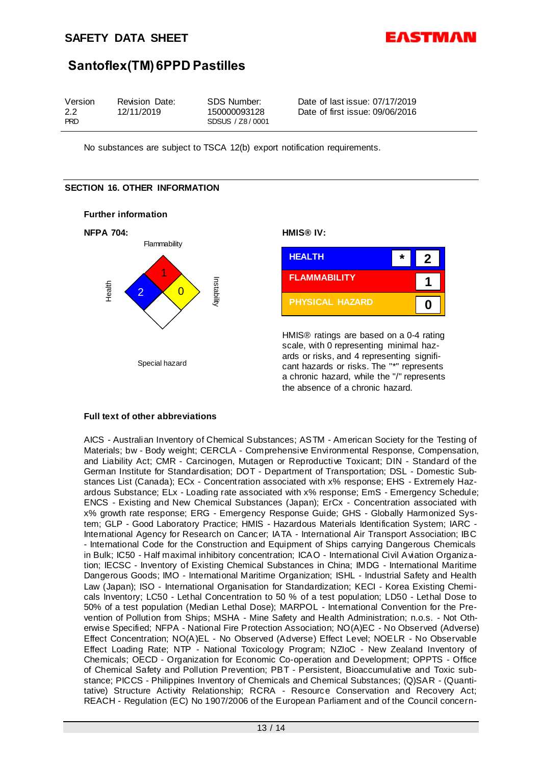

| Version<br>Revision Date:<br>SDS Number:<br>2.2<br>12/11/2019<br>150000093128<br><b>PRD</b><br>SDSUS / Z8/0001 | Date of last issue: 07/17/2019<br>Date of first issue: 09/06/2016 |
|----------------------------------------------------------------------------------------------------------------|-------------------------------------------------------------------|
|----------------------------------------------------------------------------------------------------------------|-------------------------------------------------------------------|

No substances are subject to TSCA 12(b) export notification requirements.

### **SECTION 16. OTHER INFORMATION**





HMIS® ratings are based on a 0-4 rating scale, with 0 representing minimal hazards or risks, and 4 representing significant hazards or risks. The "\*" represents a chronic hazard, while the "/" represents the absence of a chronic hazard.

### **Full text of other abbreviations**

AICS - Australian Inventory of Chemical Substances; ASTM - American Society for the Testing of Materials; bw - Body weight; CERCLA - Comprehensive Environmental Response, Compensation, and Liability Act; CMR - Carcinogen, Mutagen or Reproductive Toxicant; DIN - Standard of the German Institute for Standardisation; DOT - Department of Transportation; DSL - Domestic Substances List (Canada); ECx - Concentration associated with x% response; EHS - Extremely Hazardous Substance; ELx - Loading rate associated with x% response; EmS - Emergency Schedule; ENCS - Existing and New Chemical Substances (Japan); ErCx - Concentration associated with x% growth rate response; ERG - Emergency Response Guide; GHS - Globally Harmonized System; GLP - Good Laboratory Practice; HMIS - Hazardous Materials Identification System; IARC - International Agency for Research on Cancer; IATA - International Air Transport Association; IBC - International Code for the Construction and Equipment of Ships carrying Dangerous Chemicals in Bulk; IC50 - Half maximal inhibitory concentration; ICAO - International Civil Aviation Organization; IECSC - Inventory of Existing Chemical Substances in China; IMDG - International Maritime Dangerous Goods; IMO - International Maritime Organization; ISHL - Industrial Safety and Health Law (Japan); ISO - International Organisation for Standardization; KECI - Korea Existing Chemicals Inventory; LC50 - Lethal Concentration to 50 % of a test population; LD50 - Lethal Dose to 50% of a test population (Median Lethal Dose); MARPOL - International Convention for the Prevention of Pollution from Ships; MSHA - Mine Safety and Health Administration; n.o.s. - Not Otherwise Specified; NFPA - National Fire Protection Association; NO(A)EC - No Observed (Adverse) Effect Concentration; NO(A)EL - No Observed (Adverse) Effect Level; NOELR - No Observable Effect Loading Rate; NTP - National Toxicology Program; NZIoC - New Zealand Inventory of Chemicals; OECD - Organization for Economic Co-operation and Development; OPPTS - Office of Chemical Safety and Pollution Prevention; PBT - Persistent, Bioaccumulative and Toxic substance; PICCS - Philippines Inventory of Chemicals and Chemical Substances; (Q)SAR - (Quantitative) Structure Activity Relationship; RCRA - Resource Conservation and Recovery Act; REACH - Regulation (EC) No 1907/2006 of the European Parliament and of the Council concern-